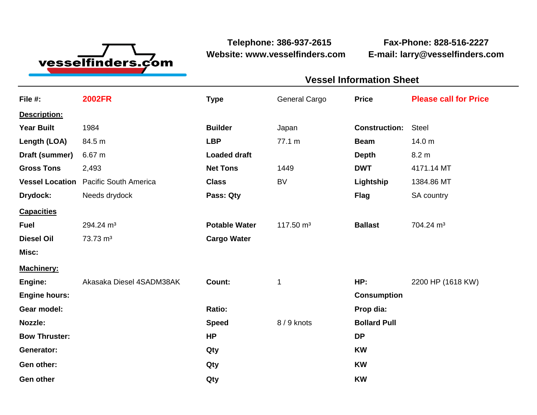

**Website: www.vesselfinders.com E-mail: larry@vesselfinders.com**

**Telephone: 386-937-2615 Fax-Phone: 828-516-2227**

| <b>Vessel Information Sheet</b>                                 |  |
|-----------------------------------------------------------------|--|
| General Cargo Price Please call for Price                       |  |
|                                                                 |  |
| <b>Construction: Steel</b>                                      |  |
| <b>Beam</b> 14.0 m                                              |  |
| Depth 8.2 m<br><b>DWT</b> 4171.14 MT                            |  |
| Lightship 1384.86 MT                                            |  |
| Flag SA country                                                 |  |
|                                                                 |  |
| Potable Water $117.50 \text{ m}^3$ Ballast $704.24 \text{ m}^3$ |  |
|                                                                 |  |
|                                                                 |  |
| HP: 2200 HP (1618 KW)                                           |  |
| <b>Consumption</b>                                              |  |
|                                                                 |  |
| Speed 8/9 knots Bollard Pull                                    |  |
|                                                                 |  |
|                                                                 |  |
|                                                                 |  |